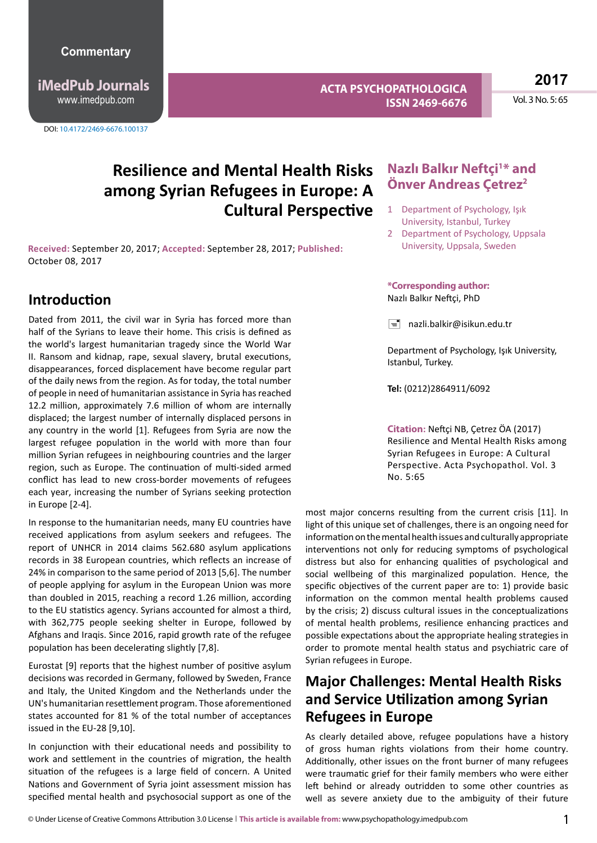**iMedPub Journals** www.imedpub.com

DOI: 10.4172/2469-6676.100137

**ACTA PSYCHOPATHOLOGICA ISSN 2469-6676** **2017**

Vol. 3 No. 5: 65

# **Resilience and Mental Health Risks among Syrian Refugees in Europe: A Cultural Perspective**

**Received:** September 20, 2017; **Accepted:** September 28, 2017; **Published:**  October 08, 2017

## **Introduction**

Dated from 2011, the civil war in Syria has forced more than half of the Syrians to leave their home. This crisis is defined as the world's largest humanitarian tragedy since the World War II. Ransom and kidnap, rape, sexual slavery, brutal executions, disappearances, forced displacement have become regular part of the daily news from the region. As for today, the total number of people in need of humanitarian assistance in Syria has reached 12.2 million, approximately 7.6 million of whom are internally displaced; the largest number of internally displaced persons in any country in the world [1]. Refugees from Syria are now the largest refugee population in the world with more than four million Syrian refugees in neighbouring countries and the larger region, such as Europe. The continuation of multi-sided armed conflict has lead to new cross-border movements of refugees each year, increasing the number of Syrians seeking protection in Europe [2-4].

In response to the humanitarian needs, many EU countries have received applications from asylum seekers and refugees. The report of UNHCR in 2014 claims 562.680 asylum applications records in 38 European countries, which reflects an increase of 24% in comparison to the same period of 2013 [5,6]. The number of people applying for asylum in the European Union was more than doubled in 2015, reaching a record 1.26 million, according to the EU statistics agency. Syrians accounted for almost a third, with 362,775 people seeking shelter in Europe, followed by Afghans and Iraqis. Since 2016, rapid growth rate of the refugee population has been decelerating slightly [7,8].

Eurostat [9] reports that the highest number of positive asylum decisions was recorded in Germany, followed by Sweden, France and Italy, the United Kingdom and the Netherlands under the UN's humanitarian resettlement program. Those aforementioned states accounted for 81 % of the total number of acceptances issued in the EU-28 [9,10].

In conjunction with their educational needs and possibility to work and settlement in the countries of migration, the health situation of the refugees is a large field of concern. A United Nations and Government of Syria joint assessment mission has specified mental health and psychosocial support as one of the

### **Nazlı Balkır Neftçi<sup>1\*</sup> and Önver Andreas Çetrez2**

- 1 Department of Psychology, Işık University, Istanbul, Turkey
- 2 Department of Psychology, Uppsala University, Uppsala, Sweden

#### **\*Corresponding author:** Nazlı Balkır Neftçi, PhD

 $\equiv$  nazli.balkir@isikun.edu.tr

Department of Psychology, Işık University, Istanbul, Turkey.

**Tel:** (0212)2864911/6092

**Citation:** Neftçi NB, Çetrez ÖA (2017) Resilience and Mental Health Risks among Syrian Refugees in Europe: A Cultural Perspective. Acta Psychopathol. Vol. 3 No. 5:65

most major concerns resulting from the current crisis [11]. In light of this unique set of challenges, there is an ongoing need for information on the mental health issues and culturally appropriate interventions not only for reducing symptoms of psychological distress but also for enhancing qualities of psychological and social wellbeing of this marginalized population. Hence, the specific objectives of the current paper are to: 1) provide basic information on the common mental health problems caused by the crisis; 2) discuss cultural issues in the conceptualizations of mental health problems, resilience enhancing practices and possible expectations about the appropriate healing strategies in order to promote mental health status and psychiatric care of Syrian refugees in Europe.

## **Major Challenges: Mental Health Risks and Service Utilization among Syrian Refugees in Europe**

As clearly detailed above, refugee populations have a history of gross human rights violations from their home country. Additionally, other issues on the front burner of many refugees were traumatic grief for their family members who were either left behind or already outridden to some other countries as well as severe anxiety due to the ambiguity of their future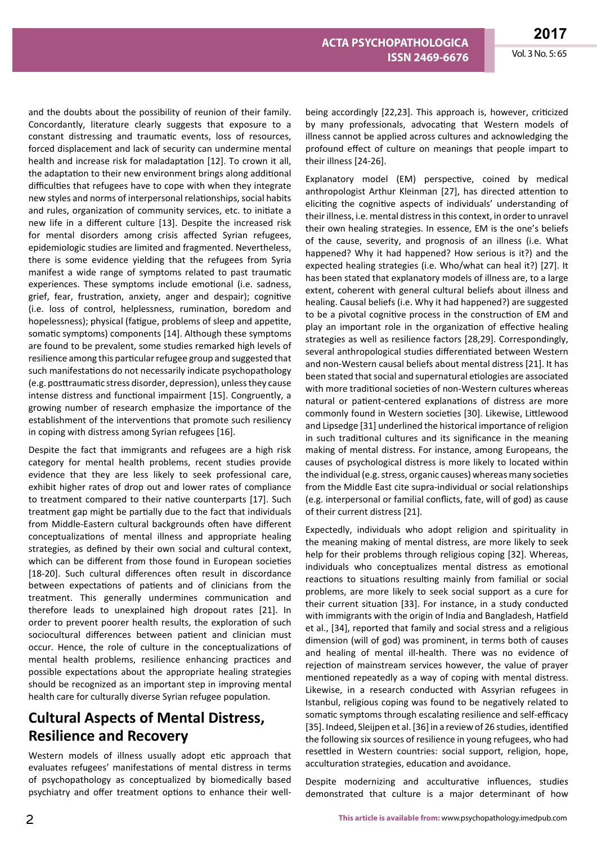and the doubts about the possibility of reunion of their family. Concordantly, literature clearly suggests that exposure to a constant distressing and traumatic events, loss of resources, forced displacement and lack of security can undermine mental health and increase risk for maladaptation [12]. To crown it all, the adaptation to their new environment brings along additional difficulties that refugees have to cope with when they integrate new styles and norms of interpersonal relationships, social habits and rules, organization of community services, etc. to initiate a new life in a different culture [13]. Despite the increased risk for mental disorders among crisis affected Syrian refugees, epidemiologic studies are limited and fragmented. Nevertheless, there is some evidence yielding that the refugees from Syria manifest a wide range of symptoms related to past traumatic experiences. These symptoms include emotional (i.e. sadness, grief, fear, frustration, anxiety, anger and despair); cognitive (i.e. loss of control, helplessness, rumination, boredom and hopelessness); physical (fatigue, problems of sleep and appetite, somatic symptoms) components [14]. Although these symptoms are found to be prevalent, some studies remarked high levels of resilience among this particular refugee group and suggested that such manifestations do not necessarily indicate psychopathology (e.g. posttraumatic stress disorder, depression), unlessthey cause intense distress and functional impairment [15]. Congruently, a growing number of research emphasize the importance of the establishment of the interventions that promote such resiliency in coping with distress among Syrian refugees [16].

Despite the fact that immigrants and refugees are a high risk category for mental health problems, recent studies provide evidence that they are less likely to seek professional care, exhibit higher rates of drop out and lower rates of compliance to treatment compared to their native counterparts [17]. Such treatment gap might be partially due to the fact that individuals from Middle-Eastern cultural backgrounds often have different conceptualizations of mental illness and appropriate healing strategies, as defined by their own social and cultural context, which can be different from those found in European societies [18-20]. Such cultural differences often result in discordance between expectations of patients and of clinicians from the treatment. This generally undermines communication and therefore leads to unexplained high dropout rates [21]. In order to prevent poorer health results, the exploration of such sociocultural differences between patient and clinician must occur. Hence, the role of culture in the conceptualizations of mental health problems, resilience enhancing practices and possible expectations about the appropriate healing strategies should be recognized as an important step in improving mental health care for culturally diverse Syrian refugee population.

## **Cultural Aspects of Mental Distress, Resilience and Recovery**

Western models of illness usually adopt etic approach that evaluates refugees' manifestations of mental distress in terms of psychopathology as conceptualized by biomedically based psychiatry and offer treatment options to enhance their well-

being accordingly [22,23]. This approach is, however, criticized by many professionals, advocating that Western models of illness cannot be applied across cultures and acknowledging the profound effect of culture on meanings that people impart to their illness [24-26].

Explanatory model (EM) perspective, coined by medical anthropologist Arthur Kleinman [27], has directed attention to eliciting the cognitive aspects of individuals' understanding of their illness, i.e. mental distress in this context, in order to unravel their own healing strategies. In essence, EM is the one's beliefs of the cause, severity, and prognosis of an illness (i.e. What happened? Why it had happened? How serious is it?) and the expected healing strategies (i.e. Who/what can heal it?) [27]. It has been stated that explanatory models of illness are, to a large extent, coherent with general cultural beliefs about illness and healing. Causal beliefs (i.e. Why it had happened?) are suggested to be a pivotal cognitive process in the construction of EM and play an important role in the organization of effective healing strategies as well as resilience factors [28,29]. Correspondingly, several anthropological studies differentiated between Western and non-Western causal beliefs about mental distress [21]. It has been stated that social and supernatural etiologies are associated with more traditional societies of non-Western cultures whereas natural or patient-centered explanations of distress are more commonly found in Western societies [30]. Likewise, Littlewood and Lipsedge [31] underlined the historical importance of religion in such traditional cultures and its significance in the meaning making of mental distress. For instance, among Europeans, the causes of psychological distress is more likely to located within the individual (e.g. stress, organic causes) whereas many societies from the Middle East cite supra-individual or social relationships (e.g. interpersonal or familial conflicts, fate, will of god) as cause of their current distress [21].

Expectedly, individuals who adopt religion and spirituality in the meaning making of mental distress, are more likely to seek help for their problems through religious coping [32]. Whereas, individuals who conceptualizes mental distress as emotional reactions to situations resulting mainly from familial or social problems, are more likely to seek social support as a cure for their current situation [33]. For instance, in a study conducted with immigrants with the origin of India and Bangladesh, Hatfield et al., [34], reported that family and social stress and a religious dimension (will of god) was prominent, in terms both of causes and healing of mental ill-health. There was no evidence of rejection of mainstream services however, the value of prayer mentioned repeatedly as a way of coping with mental distress. Likewise, in a research conducted with Assyrian refugees in Istanbul, religious coping was found to be negatively related to somatic symptoms through escalating resilience and self-efficacy [35]. Indeed, Sleijpen et al. [36] in a review of 26 studies, identified the following six sources of resilience in young refugees, who had resettled in Western countries: social support, religion, hope, acculturation strategies, education and avoidance.

Despite modernizing and acculturative influences, studies demonstrated that culture is a major determinant of how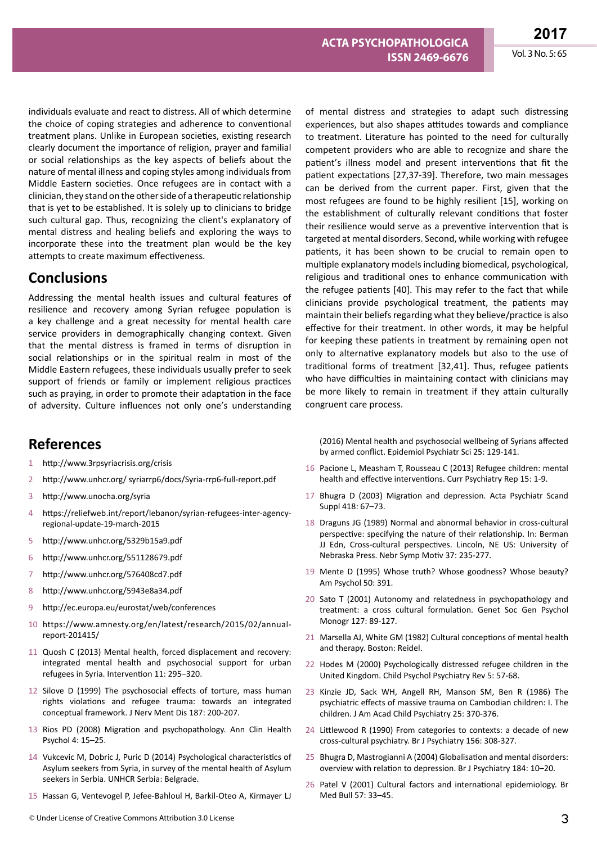individuals evaluate and react to distress. All of which determine the choice of coping strategies and adherence to conventional treatment plans. Unlike in European societies, existing research clearly document the importance of religion, prayer and familial or social relationships as the key aspects of beliefs about the nature of mental illness and coping styles among individuals from Middle Eastern societies. Once refugees are in contact with a clinician, they stand on the other side of a therapeutic relationship that is yet to be established. It is solely up to clinicians to bridge such cultural gap. Thus, recognizing the client's explanatory of mental distress and healing beliefs and exploring the ways to incorporate these into the treatment plan would be the key attempts to create maximum effectiveness.

#### **Conclusions**

Addressing the mental health issues and cultural features of resilience and recovery among Syrian refugee population is a key challenge and a great necessity for mental health care service providers in demographically changing context. Given that the mental distress is framed in terms of disruption in social relationships or in the spiritual realm in most of the Middle Eastern refugees, these individuals usually prefer to seek support of friends or family or implement religious practices such as praying, in order to promote their adaptation in the face of adversity. Culture influences not only one's understanding

## **References**

- http://www.3rpsyriacrisis.org/crisis
- 2 http://www.unhcr.org/ syriarrp6/docs/Syria-rrp6-full-report.pdf
- 3 http://www.unocha.org/syria
- 4 https://reliefweb.int/report/lebanon/syrian-refugees-inter-agencyregional-update-19-march-2015
- 5 http://www.unhcr.org/5329b15a9.pdf
- 6 http://www.unhcr.org/551128679.pdf
- 7 http://www.unhcr.org/576408cd7.pdf
- 8 http://www.unhcr.org/5943e8a34.pdf
- 9 http://ec.europa.eu/eurostat/web/conferences
- 10 https://www.amnesty.org/en/latest/research/2015/02/annualreport-201415/
- 11 Quosh C (2013) Mental health, forced displacement and recovery: integrated mental health and psychosocial support for urban refugees in Syria. Intervention 11: 295–320.
- 12 Silove D (1999) The psychosocial effects of torture, mass human rights violations and refugee trauma: towards an integrated conceptual framework. J Nerv Ment Dis 187: 200-207.
- 13 Rios PD (2008) Migration and psychopathology. Ann Clin Health Psychol 4: 15–25.
- 14 Vukcevic M, Dobric J, Puric D (2014) Psychological characteristics of Asylum seekers from Syria, in survey of the mental health of Asylum seekers in Serbia. UNHCR Serbia: Belgrade.
- 15 Hassan G, Ventevogel P, Jefee-Bahloul H, Barkil-Oteo A, Kirmayer LJ

experiences, but also shapes attitudes towards and compliance to treatment. Literature has pointed to the need for culturally competent providers who are able to recognize and share the patient's illness model and present interventions that fit the patient expectations [27,37-39]. Therefore, two main messages can be derived from the current paper. First, given that the most refugees are found to be highly resilient [15], working on the establishment of culturally relevant conditions that foster their resilience would serve as a preventive intervention that is targeted at mental disorders. Second, while working with refugee patients, it has been shown to be crucial to remain open to multiple explanatory models including biomedical, psychological, religious and traditional ones to enhance communication with the refugee patients [40]. This may refer to the fact that while clinicians provide psychological treatment, the patients may maintain their beliefsregarding what they believe/practice is also effective for their treatment. In other words, it may be helpful for keeping these patients in treatment by remaining open not only to alternative explanatory models but also to the use of traditional forms of treatment [32,41]. Thus, refugee patients who have difficulties in maintaining contact with clinicians may be more likely to remain in treatment if they attain culturally congruent care process.

of mental distress and strategies to adapt such distressing

(2016) Mental health and psychosocial wellbeing of Syrians affected by armed conflict. Epidemiol Psychiatr Sci 25: 129-141.

- 16 Pacione L, Measham T, Rousseau C (2013) Refugee children: mental health and effective interventions. Curr Psychiatry Rep 15: 1-9.
- 17 Bhugra D (2003) Migration and depression. Acta Psychiatr Scand Suppl 418: 67–73.
- 18 Draguns JG (1989) Normal and abnormal behavior in cross-cultural perspective: specifying the nature of their relationship. In: Berman JJ Edn, Cross-cultural perspectives. Lincoln, NE US: University of Nebraska Press. Nebr Symp Motiv 37: 235-277.
- 19 Mente D (1995) Whose truth? Whose goodness? Whose beauty? Am Psychol 50: 391.
- 20 Sato T (2001) Autonomy and relatedness in psychopathology and treatment: a cross cultural formulation. Genet Soc Gen Psychol Monogr 127: 89-127.
- 21 Marsella AJ, White GM (1982) Cultural conceptions of mental health and therapy. Boston: Reidel.
- 22 Hodes M (2000) Psychologically distressed refugee children in the United Kingdom. Child Psychol Psychiatry Rev 5: 57-68.
- 23 Kinzie JD, Sack WH, Angell RH, Manson SM, Ben R (1986) The psychiatric effects of massive trauma on Cambodian children: I. The children. J Am Acad Child Psychiatry 25: 370-376.
- 24 Littlewood R (1990) From categories to contexts: a decade of new cross-cultural psychiatry. Br J Psychiatry 156: 308-327.
- 25 Bhugra D, Mastrogianni A (2004) Globalisation and mental disorders: overview with relation to depression. Br J Psychiatry 184: 10–20.
- 26 Patel V (2001) Cultural factors and international epidemiology. Br Med Bull 57: 33–45.